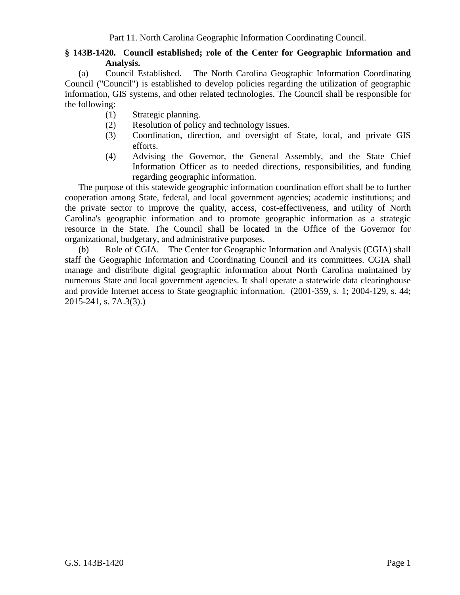## **§ 143B-1420. Council established; role of the Center for Geographic Information and Analysis.**

(a) Council Established. – The North Carolina Geographic Information Coordinating Council ("Council") is established to develop policies regarding the utilization of geographic information, GIS systems, and other related technologies. The Council shall be responsible for the following:

- (1) Strategic planning.
- (2) Resolution of policy and technology issues.
- (3) Coordination, direction, and oversight of State, local, and private GIS efforts.
- (4) Advising the Governor, the General Assembly, and the State Chief Information Officer as to needed directions, responsibilities, and funding regarding geographic information.

The purpose of this statewide geographic information coordination effort shall be to further cooperation among State, federal, and local government agencies; academic institutions; and the private sector to improve the quality, access, cost-effectiveness, and utility of North Carolina's geographic information and to promote geographic information as a strategic resource in the State. The Council shall be located in the Office of the Governor for organizational, budgetary, and administrative purposes.

(b) Role of CGIA. – The Center for Geographic Information and Analysis (CGIA) shall staff the Geographic Information and Coordinating Council and its committees. CGIA shall manage and distribute digital geographic information about North Carolina maintained by numerous State and local government agencies. It shall operate a statewide data clearinghouse and provide Internet access to State geographic information. (2001-359, s. 1; 2004-129, s. 44; 2015-241, s. 7A.3(3).)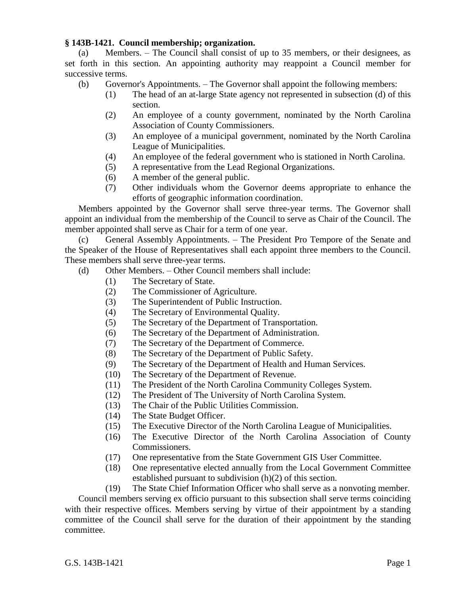## **§ 143B-1421. Council membership; organization.**

(a) Members. – The Council shall consist of up to 35 members, or their designees, as set forth in this section. An appointing authority may reappoint a Council member for successive terms.

(b) Governor's Appointments. – The Governor shall appoint the following members:

- (1) The head of an at-large State agency not represented in subsection (d) of this section.
- (2) An employee of a county government, nominated by the North Carolina Association of County Commissioners.
- (3) An employee of a municipal government, nominated by the North Carolina League of Municipalities.
- (4) An employee of the federal government who is stationed in North Carolina.
- (5) A representative from the Lead Regional Organizations.
- (6) A member of the general public.
- (7) Other individuals whom the Governor deems appropriate to enhance the efforts of geographic information coordination.

Members appointed by the Governor shall serve three-year terms. The Governor shall appoint an individual from the membership of the Council to serve as Chair of the Council. The member appointed shall serve as Chair for a term of one year.

(c) General Assembly Appointments. – The President Pro Tempore of the Senate and the Speaker of the House of Representatives shall each appoint three members to the Council. These members shall serve three-year terms.

(d) Other Members. – Other Council members shall include:

- (1) The Secretary of State.
- (2) The Commissioner of Agriculture.
- (3) The Superintendent of Public Instruction.
- (4) The Secretary of Environmental Quality.
- (5) The Secretary of the Department of Transportation.
- (6) The Secretary of the Department of Administration.
- (7) The Secretary of the Department of Commerce.
- (8) The Secretary of the Department of Public Safety.
- (9) The Secretary of the Department of Health and Human Services.
- (10) The Secretary of the Department of Revenue.
- (11) The President of the North Carolina Community Colleges System.
- (12) The President of The University of North Carolina System.
- (13) The Chair of the Public Utilities Commission.
- (14) The State Budget Officer.
- (15) The Executive Director of the North Carolina League of Municipalities.
- (16) The Executive Director of the North Carolina Association of County Commissioners.
- (17) One representative from the State Government GIS User Committee.
- (18) One representative elected annually from the Local Government Committee established pursuant to subdivision (h)(2) of this section.
- (19) The State Chief Information Officer who shall serve as a nonvoting member.

Council members serving ex officio pursuant to this subsection shall serve terms coinciding with their respective offices. Members serving by virtue of their appointment by a standing committee of the Council shall serve for the duration of their appointment by the standing committee.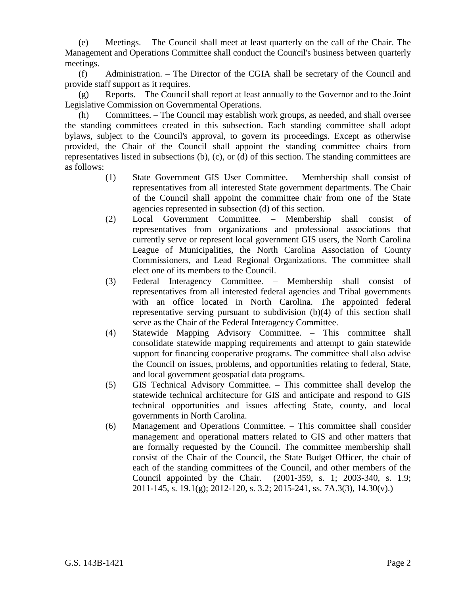(e) Meetings. – The Council shall meet at least quarterly on the call of the Chair. The Management and Operations Committee shall conduct the Council's business between quarterly meetings.

(f) Administration. – The Director of the CGIA shall be secretary of the Council and provide staff support as it requires.

(g) Reports. – The Council shall report at least annually to the Governor and to the Joint Legislative Commission on Governmental Operations.

(h) Committees. – The Council may establish work groups, as needed, and shall oversee the standing committees created in this subsection. Each standing committee shall adopt bylaws, subject to the Council's approval, to govern its proceedings. Except as otherwise provided, the Chair of the Council shall appoint the standing committee chairs from representatives listed in subsections (b), (c), or (d) of this section. The standing committees are as follows:

- (1) State Government GIS User Committee. Membership shall consist of representatives from all interested State government departments. The Chair of the Council shall appoint the committee chair from one of the State agencies represented in subsection (d) of this section.
- (2) Local Government Committee. Membership shall consist of representatives from organizations and professional associations that currently serve or represent local government GIS users, the North Carolina League of Municipalities, the North Carolina Association of County Commissioners, and Lead Regional Organizations. The committee shall elect one of its members to the Council.
- (3) Federal Interagency Committee. Membership shall consist of representatives from all interested federal agencies and Tribal governments with an office located in North Carolina. The appointed federal representative serving pursuant to subdivision (b)(4) of this section shall serve as the Chair of the Federal Interagency Committee.
- (4) Statewide Mapping Advisory Committee. This committee shall consolidate statewide mapping requirements and attempt to gain statewide support for financing cooperative programs. The committee shall also advise the Council on issues, problems, and opportunities relating to federal, State, and local government geospatial data programs.
- (5) GIS Technical Advisory Committee. This committee shall develop the statewide technical architecture for GIS and anticipate and respond to GIS technical opportunities and issues affecting State, county, and local governments in North Carolina.
- (6) Management and Operations Committee. This committee shall consider management and operational matters related to GIS and other matters that are formally requested by the Council. The committee membership shall consist of the Chair of the Council, the State Budget Officer, the chair of each of the standing committees of the Council, and other members of the Council appointed by the Chair. (2001-359, s. 1; 2003-340, s. 1.9; 2011-145, s. 19.1(g); 2012-120, s. 3.2; 2015-241, ss. 7A.3(3), 14.30(v).)